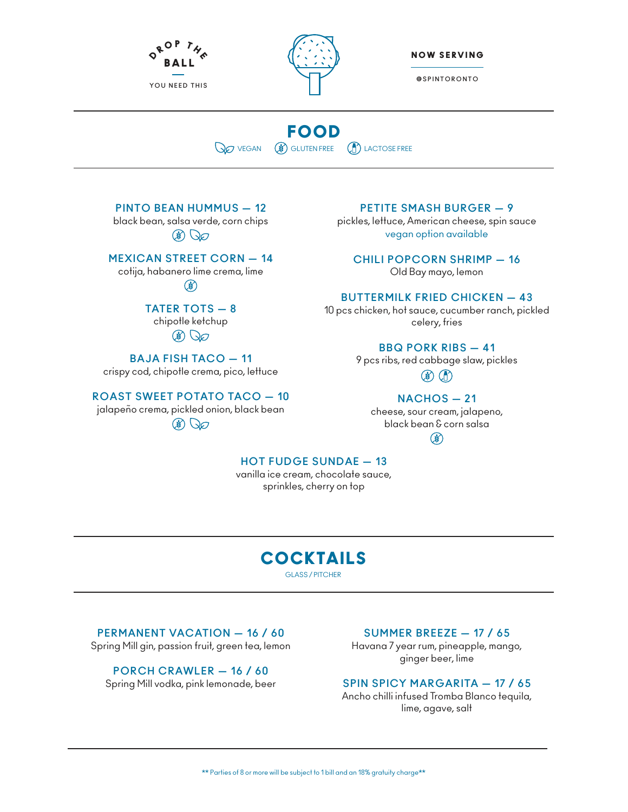



NOW SERVING

**@SPINTORONTO**

# FOOD **VEGAN** (**\***) GLUTEN FREE (**A**) LACTOSE FREE

**PINTO BEAN HUMMUS — 12**

black bean, salsa verde, corn chips  $\circledast$ 

**MEXICAN STREET CORN — 14**

cotija, habanero lime crema, lime

## $\circledast$

**TATER TOTS — 8** chipotle ketchup

## $\circledR$

**BAJA FISH TACO — 11**  crispy cod, chipotle crema, pico, lettuce

**ROAST SWEET POTATO TACO — 10**

jalapeño crema, pickled onion, black bean  $\circledast$ 

#### **PETITE SMASH BURGER — 9**

pickles, lettuce, American cheese, spin sauce vegan option available

**CHILI POPCORN SHRIMP — 16** Old Bay mayo, lemon

**BUTTERMILK FRIED CHICKEN — 43**

10 pcs chicken, hot sauce, cucumber ranch, pickled celery, fries

#### **BBQ PORK RIBS — 41**

9 pcs ribs, red cabbage slaw, pickles  $\circledast$   $\circledast$ 

### **NACHOS — 21**

cheese, sour cream, jalapeno, black bean & corn salsa  $\circled{})$ 

**HOT FUDGE SUNDAE — 13**

vanilla ice cream, chocolate sauce, sprinkles, cherry on top

## COCKTAILS GLASS / PITCHER

**PERMANENT VACATION — 16 / 60**

Spring Mill gin, passion fruit, green tea, lemon

**PORCH CRAWLER — 16 / 60** Spring Mill vodka, pink lemonade, beer

#### **SUMMER BREEZE — 17 / 65**

Havana 7 year rum, pineapple, mango, ginger beer, lime

#### **SPIN SPICY MARGARITA — 17 / 65**

Ancho chilli infused Tromba Blanco tequila, lime, agave, salt

\*\* Parties of 8 or more will be subject to 1 bill and an 18% gratuity charge\*\*